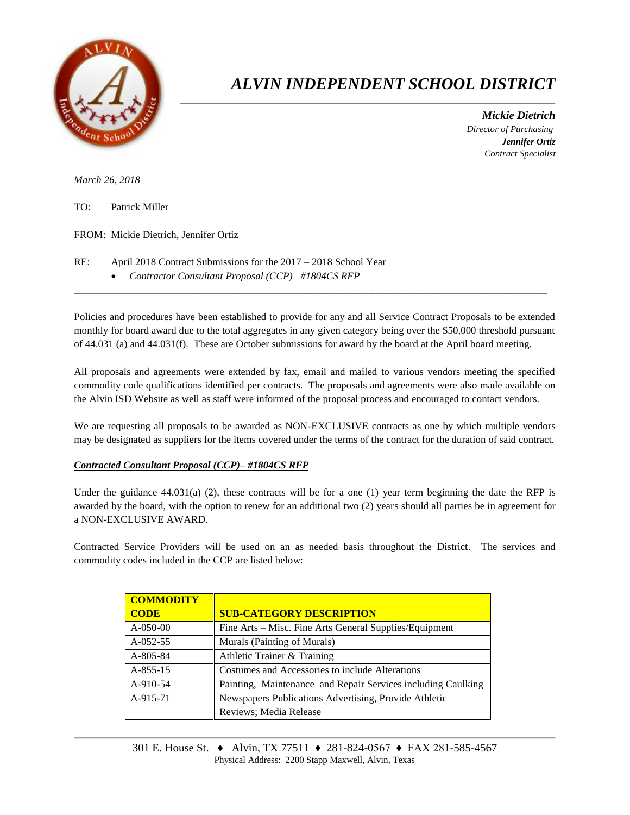

## *ALVIN INDEPENDENT SCHOOL DISTRICT*

 *Mickie Dietrich Director of Purchasing Jennifer Ortiz Contract Specialist*

*March 26, 2018*

TO: Patrick Miller

FROM: Mickie Dietrich, Jennifer Ortiz

- RE: April 2018 Contract Submissions for the 2017 2018 School Year
	- *Contractor Consultant Proposal (CCP)– #1804CS RFP*

Policies and procedures have been established to provide for any and all Service Contract Proposals to be extended monthly for board award due to the total aggregates in any given category being over the \$50,000 threshold pursuant of 44.031 (a) and 44.031(f). These are October submissions for award by the board at the April board meeting.

 $\overline{a}$  , and the state of the state of the state of the state of the state of the state of the state of the state of the state of the state of the state of the state of the state of the state of the state of the state o

All proposals and agreements were extended by fax, email and mailed to various vendors meeting the specified commodity code qualifications identified per contracts. The proposals and agreements were also made available on the Alvin ISD Website as well as staff were informed of the proposal process and encouraged to contact vendors.

We are requesting all proposals to be awarded as NON-EXCLUSIVE contracts as one by which multiple vendors may be designated as suppliers for the items covered under the terms of the contract for the duration of said contract.

## *Contracted Consultant Proposal (CCP)– #1804CS RFP*

Under the guidance  $44.031(a)$  (2), these contracts will be for a one (1) year term beginning the date the RFP is awarded by the board, with the option to renew for an additional two (2) years should all parties be in agreement for a NON-EXCLUSIVE AWARD.

Contracted Service Providers will be used on an as needed basis throughout the District. The services and commodity codes included in the CCP are listed below:

| <b>COMMODITY</b> |                                                              |  |  |  |
|------------------|--------------------------------------------------------------|--|--|--|
| <b>CODE</b>      | <b>SUB-CATEGORY DESCRIPTION</b>                              |  |  |  |
| $A-050-00$       | Fine Arts – Misc. Fine Arts General Supplies/Equipment       |  |  |  |
| $A-052-55$       | Murals (Painting of Murals)                                  |  |  |  |
| A-805-84         | Athletic Trainer & Training                                  |  |  |  |
| $A-855-15$       | Costumes and Accessories to include Alterations              |  |  |  |
| A-910-54         | Painting, Maintenance and Repair Services including Caulking |  |  |  |
| A-915-71         | Newspapers Publications Advertising, Provide Athletic        |  |  |  |
|                  | Reviews; Media Release                                       |  |  |  |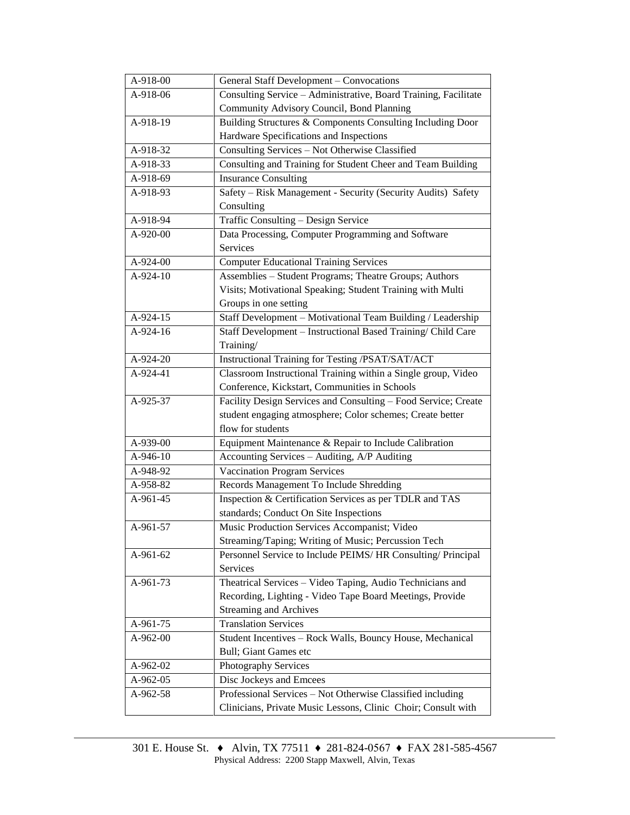| A-918-00   | General Staff Development - Convocations                        |  |  |  |
|------------|-----------------------------------------------------------------|--|--|--|
| A-918-06   | Consulting Service - Administrative, Board Training, Facilitate |  |  |  |
|            | Community Advisory Council, Bond Planning                       |  |  |  |
| $A-918-19$ | Building Structures & Components Consulting Including Door      |  |  |  |
|            | Hardware Specifications and Inspections                         |  |  |  |
| A-918-32   | Consulting Services - Not Otherwise Classified                  |  |  |  |
| A-918-33   | Consulting and Training for Student Cheer and Team Building     |  |  |  |
| A-918-69   | <b>Insurance Consulting</b>                                     |  |  |  |
| A-918-93   | Safety - Risk Management - Security (Security Audits) Safety    |  |  |  |
|            | Consulting                                                      |  |  |  |
| A-918-94   | Traffic Consulting - Design Service                             |  |  |  |
| A-920-00   | Data Processing, Computer Programming and Software              |  |  |  |
|            | Services                                                        |  |  |  |
| A-924-00   | <b>Computer Educational Training Services</b>                   |  |  |  |
| A-924-10   | Assemblies - Student Programs; Theatre Groups; Authors          |  |  |  |
|            | Visits; Motivational Speaking; Student Training with Multi      |  |  |  |
|            | Groups in one setting                                           |  |  |  |
| A-924-15   | Staff Development - Motivational Team Building / Leadership     |  |  |  |
| A-924-16   | Staff Development - Instructional Based Training/ Child Care    |  |  |  |
|            | Training/                                                       |  |  |  |
| A-924-20   | Instructional Training for Testing /PSAT/SAT/ACT                |  |  |  |
| $A-924-41$ | Classroom Instructional Training within a Single group, Video   |  |  |  |
|            | Conference, Kickstart, Communities in Schools                   |  |  |  |
| A-925-37   | Facility Design Services and Consulting - Food Service; Create  |  |  |  |
|            | student engaging atmosphere; Color schemes; Create better       |  |  |  |
|            | flow for students                                               |  |  |  |
| A-939-00   | Equipment Maintenance & Repair to Include Calibration           |  |  |  |
| A-946-10   | Accounting Services - Auditing, A/P Auditing                    |  |  |  |
| A-948-92   | <b>Vaccination Program Services</b>                             |  |  |  |
| A-958-82   | Records Management To Include Shredding                         |  |  |  |
| A-961-45   | Inspection & Certification Services as per TDLR and TAS         |  |  |  |
|            | standards; Conduct On Site Inspections                          |  |  |  |
| A-961-57   | Music Production Services Accompanist; Video                    |  |  |  |
|            | Streaming/Taping; Writing of Music; Percussion Tech             |  |  |  |
| A-961-62   | Personnel Service to Include PEIMS/HR Consulting/ Principal     |  |  |  |
|            | Services                                                        |  |  |  |
| A-961-73   | Theatrical Services - Video Taping, Audio Technicians and       |  |  |  |
|            | Recording, Lighting - Video Tape Board Meetings, Provide        |  |  |  |
|            | <b>Streaming and Archives</b>                                   |  |  |  |
| A-961-75   | <b>Translation Services</b>                                     |  |  |  |
| A-962-00   | Student Incentives - Rock Walls, Bouncy House, Mechanical       |  |  |  |
|            | Bull; Giant Games etc                                           |  |  |  |
| A-962-02   | Photography Services                                            |  |  |  |
| A-962-05   | Disc Jockeys and Emcees                                         |  |  |  |
| A-962-58   | Professional Services - Not Otherwise Classified including      |  |  |  |
|            | Clinicians, Private Music Lessons, Clinic Choir; Consult with   |  |  |  |
|            |                                                                 |  |  |  |